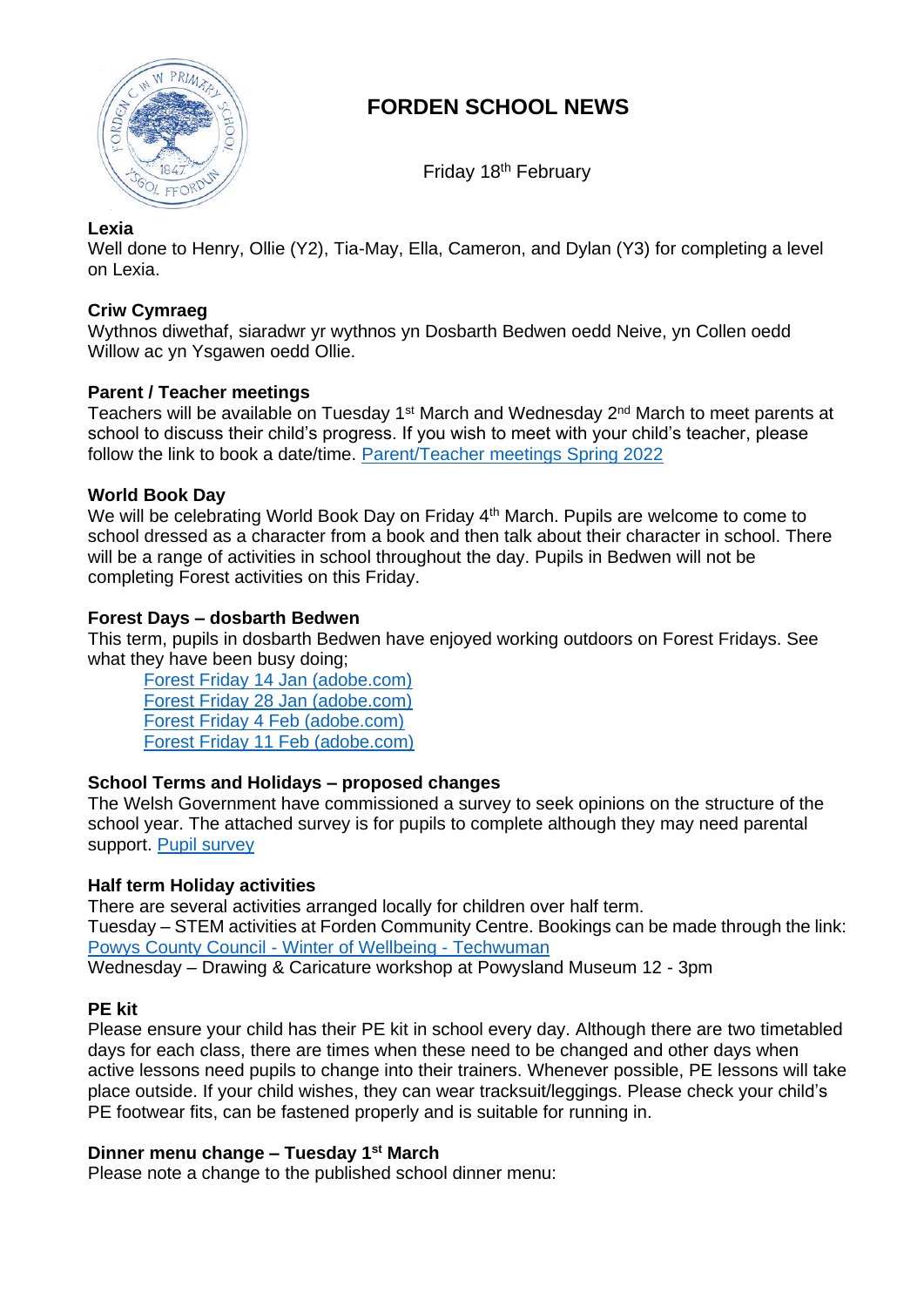

# **FORDEN SCHOOL NEWS**

Friday 18<sup>th</sup> February

# **Lexia**

Well done to Henry, Ollie (Y2), Tia-May, Ella, Cameron, and Dylan (Y3) for completing a level on Lexia.

## **Criw Cymraeg**

Wythnos diwethaf, siaradwr yr wythnos yn Dosbarth Bedwen oedd Neive, yn Collen oedd Willow ac yn Ysgawen oedd Ollie.

## **Parent / Teacher meetings**

Teachers will be available on Tuesday 1<sup>st</sup> March and Wednesday 2<sup>nd</sup> March to meet parents at school to discuss their child's progress. If you wish to meet with your child's teacher, please follow the link to book a date/time. [Parent/Teacher meetings Spring 2022](https://outlook.office365.com/owa/calendar/FordenSchool1@hwbwave15.onmicrosoft.com/bookings/)

## **World Book Day**

We will be celebrating World Book Day on Friday 4<sup>th</sup> March. Pupils are welcome to come to school dressed as a character from a book and then talk about their character in school. There will be a range of activities in school throughout the day. Pupils in Bedwen will not be completing Forest activities on this Friday.

## **Forest Days – dosbarth Bedwen**

This term, pupils in dosbarth Bedwen have enjoyed working outdoors on Forest Fridays. See what they have been busy doing;

[Forest Friday 14 Jan \(adobe.com\)](https://express.adobe.com/page/UPgn363Qfzj9U/) [Forest Friday 28 Jan \(adobe.com\)](https://express.adobe.com/page/tmlkLuuGPqnv2/) [Forest Friday 4 Feb \(adobe.com\)](https://express.adobe.com/page/LpAkPWq9nneGA/) [Forest Friday 11 Feb \(adobe.com\)](https://express.adobe.com/page/x1sLxu8DTvq4a/)

# **School Terms and Holidays – proposed changes**

The Welsh Government have commissioned a survey to seek opinions on the structure of the school year. The attached survey is for pupils to complete although they may need parental support. [Pupil survey](https://wh1.snapsurveys.com/s.asp?k=164217485980)

# **Half term Holiday activities**

There are several activities arranged locally for children over half term. Tuesday – STEM activities at Forden Community Centre. Bookings can be made through the link: [Powys County Council -](http://www.techwuman.co.uk/winter-of-wellbeing/) Winter of Wellbeing - Techwuman Wednesday – Drawing & Caricature workshop at Powysland Museum 12 - 3pm

#### **PE kit**

Please ensure your child has their PE kit in school every day. Although there are two timetabled days for each class, there are times when these need to be changed and other days when active lessons need pupils to change into their trainers. Whenever possible, PE lessons will take place outside. If your child wishes, they can wear tracksuit/leggings. Please check your child's PE footwear fits, can be fastened properly and is suitable for running in.

#### **Dinner menu change – Tuesday 1st March**

Please note a change to the published school dinner menu: